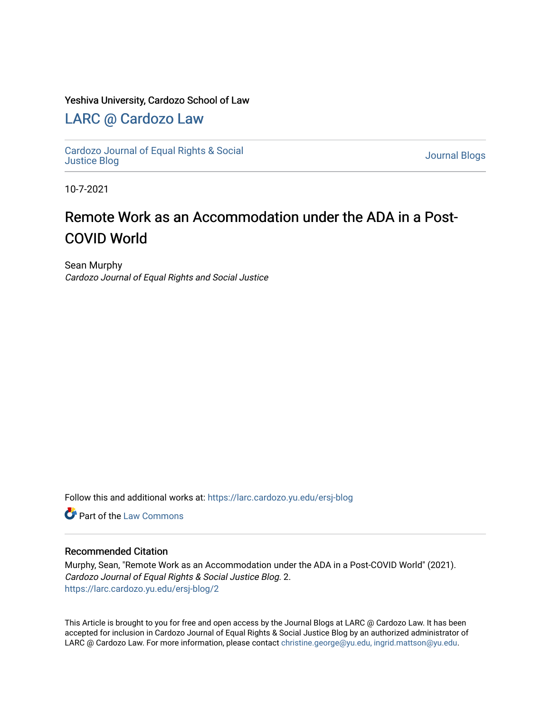### Yeshiva University, Cardozo School of Law

### [LARC @ Cardozo Law](https://larc.cardozo.yu.edu/)

[Cardozo Journal of Equal Rights & Social](https://larc.cardozo.yu.edu/ersj-blog)  [Justice Blog](https://larc.cardozo.yu.edu/ersj-blog) [Journal Blogs](https://larc.cardozo.yu.edu/journal-blogs) 

10-7-2021

## Remote Work as an Accommodation under the ADA in a Post-COVID World

Sean Murphy Cardozo Journal of Equal Rights and Social Justice

Follow this and additional works at: [https://larc.cardozo.yu.edu/ersj-blog](https://larc.cardozo.yu.edu/ersj-blog?utm_source=larc.cardozo.yu.edu%2Fersj-blog%2F2&utm_medium=PDF&utm_campaign=PDFCoverPages) 

**C** Part of the [Law Commons](http://network.bepress.com/hgg/discipline/578?utm_source=larc.cardozo.yu.edu%2Fersj-blog%2F2&utm_medium=PDF&utm_campaign=PDFCoverPages)

#### Recommended Citation

Murphy, Sean, "Remote Work as an Accommodation under the ADA in a Post-COVID World" (2021). Cardozo Journal of Equal Rights & Social Justice Blog. 2. [https://larc.cardozo.yu.edu/ersj-blog/2](https://larc.cardozo.yu.edu/ersj-blog/2?utm_source=larc.cardozo.yu.edu%2Fersj-blog%2F2&utm_medium=PDF&utm_campaign=PDFCoverPages)

This Article is brought to you for free and open access by the Journal Blogs at LARC @ Cardozo Law. It has been accepted for inclusion in Cardozo Journal of Equal Rights & Social Justice Blog by an authorized administrator of LARC @ Cardozo Law. For more information, please contact [christine.george@yu.edu, ingrid.mattson@yu.edu](mailto:christine.george@yu.edu,%20ingrid.mattson@yu.edu).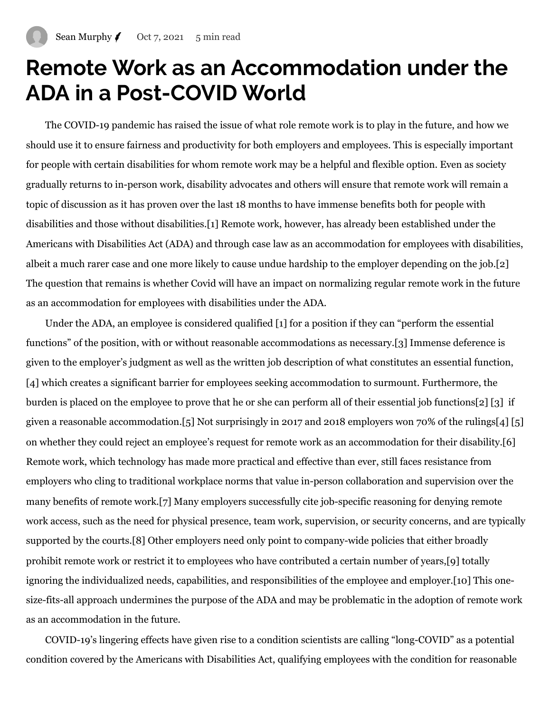# **Remote Work as an Accommodation under the ADA in a Post-COVID World**

The COVID-19 pandemic has raised the issue of what role remote work is to play in the future, and how we should use it to ensure fairness and productivity for both employers and employees. This is especially important for people with certain disabilities for whom remote work may be a helpful and flexible option. Even as society gradually returns to in-person work, disability advocates and others will ensure that remote work will remain a topic of discussion as it has proven over the last 18 months to have immense benefits both for people with disabilities and those without disabilities.[\[1\]](https://manage.wix.com/dashboard/4048580a-6877-4460-b15c-ac5c8ebbccbb/blog/create-post#_ftn1) Remote work, however, has already been established under the Americans with Disabilities Act (ADA) and through case law as an accommodation for employees with disabilities, albeit a much rarer case and one more likely to cause undue hardship to the employer depending on the job[.\[2\]](https://manage.wix.com/dashboard/4048580a-6877-4460-b15c-ac5c8ebbccbb/blog/create-post#_ftn2) The question that remains is whether Covid will have an impact on normalizing regular remote work in the future as an accommodation for employees with disabilities under the ADA.

Under the ADA, an employee is considered qualified [\[1\]](https://manage.wix.com/dashboard/4048580a-6877-4460-b15c-ac5c8ebbccbb/blog/create-post#_msocom_1) for a position if they can "perform the essential functions" of the position, with or without reasonable accommodations as necessary.[\[3\]](https://manage.wix.com/dashboard/4048580a-6877-4460-b15c-ac5c8ebbccbb/blog/create-post#_ftn3) Immense deference is given to the employer's judgment as well as the written job description of what constitutes an essential function, [\[4\]](https://manage.wix.com/dashboard/4048580a-6877-4460-b15c-ac5c8ebbccbb/blog/create-post#_ftn4) which creates a significant barrier for employees seeking accommodation to surmount. Furthermore, the burden is placed on the employee to prove that he or she can perform all of their essential job function[s\[2\]](https://manage.wix.com/dashboard/4048580a-6877-4460-b15c-ac5c8ebbccbb/blog/create-post#_msocom_2) [\[3\]](https://manage.wix.com/dashboard/4048580a-6877-4460-b15c-ac5c8ebbccbb/blog/create-post#_msocom_3) if given a reasonable accommodation[.\[5\]](https://manage.wix.com/dashboard/4048580a-6877-4460-b15c-ac5c8ebbccbb/blog/create-post#_ftn5) Not surprisingly in 2017 and 2018 employers won 70% of the ruling[s\[4\]](https://manage.wix.com/dashboard/4048580a-6877-4460-b15c-ac5c8ebbccbb/blog/create-post#_msocom_4) [\[5\]](https://manage.wix.com/dashboard/4048580a-6877-4460-b15c-ac5c8ebbccbb/blog/create-post#_msocom_5) on whether they could reject an employee's request for remote work as an accommodation for their disability[.\[6\]](https://manage.wix.com/dashboard/4048580a-6877-4460-b15c-ac5c8ebbccbb/blog/create-post#_ftn6) Remote work, which technology has made more practical and effective than ever, still faces resistance from employers who cling to traditional workplace norms that value in-person collaboration and supervision over the many benefits of remote work.[\[7\]](https://manage.wix.com/dashboard/4048580a-6877-4460-b15c-ac5c8ebbccbb/blog/create-post#_ftn7) Many employers successfully cite job-specific reasoning for denying remote work access, such as the need for physical presence, team work, supervision, or security concerns, and are typically supported by the courts.[\[8\]](https://manage.wix.com/dashboard/4048580a-6877-4460-b15c-ac5c8ebbccbb/blog/create-post#_ftn8) Other employers need only point to company-wide policies that either broadly prohibit remote work or restrict it to employees who have contributed a certain number of years[,\[9\]](https://manage.wix.com/dashboard/4048580a-6877-4460-b15c-ac5c8ebbccbb/blog/create-post#_ftn9) totally ignoring the individualized needs, capabilities, and responsibilities of the employee and employer.[\[10\]](https://manage.wix.com/dashboard/4048580a-6877-4460-b15c-ac5c8ebbccbb/blog/create-post#_ftn10) This onesize-fits-all approach undermines the purpose of the ADA and may be problematic in the adoption of remote work as an accommodation in the future.

COVID-19's lingering effects have given rise to a condition scientists are calling "long-COVID" as a potential condition covered by the Americans with Disabilities Act, qualifying employees with the condition for reasonable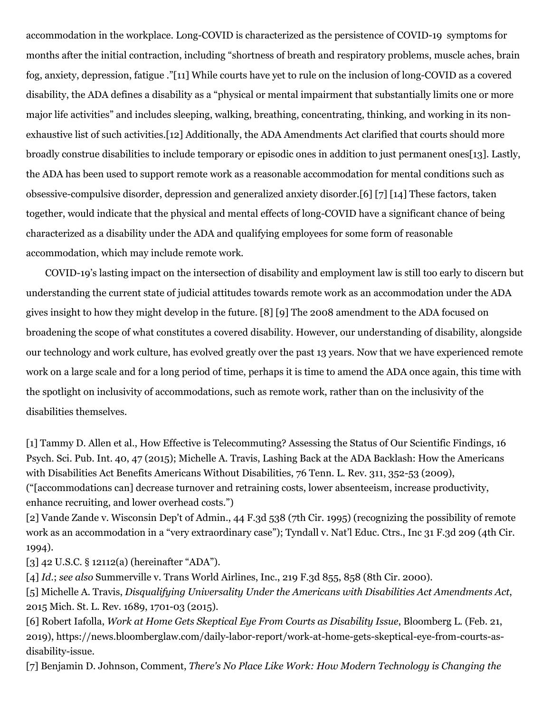accommodation in the workplace. Long-COVID is characterized as the persistence of COVID-19 symptoms for months after the initial contraction, including "shortness of breath and respiratory problems, muscle aches, brain fog, anxiety, depression, fatigue .["\[11\]](https://manage.wix.com/dashboard/4048580a-6877-4460-b15c-ac5c8ebbccbb/blog/create-post#_ftn11) While courts have yet to rule on the inclusion of long-COVID as a covered disability, the ADA defines a disability as a "physical or mental impairment that substantially limits one or more major life activities" and includes sleeping, walking, breathing, concentrating, thinking, and working in its nonexhaustive list of such activities[.\[12\]](https://manage.wix.com/dashboard/4048580a-6877-4460-b15c-ac5c8ebbccbb/blog/create-post#_ftn12) Additionally, the ADA Amendments Act clarified that courts should more broadly construe disabilities to include temporary or episodic ones in addition to just permanent ones[\[13\]](https://manage.wix.com/dashboard/4048580a-6877-4460-b15c-ac5c8ebbccbb/blog/create-post#_ftn13). Lastly, the ADA has been used to support remote work as a reasonable accommodation for mental conditions such as obsessive-compulsive disorder, depression and generalized anxiety disorder.[\[6\]](https://manage.wix.com/dashboard/4048580a-6877-4460-b15c-ac5c8ebbccbb/blog/create-post#_msocom_6) [\[7\]](https://manage.wix.com/dashboard/4048580a-6877-4460-b15c-ac5c8ebbccbb/blog/create-post#_msocom_7) [\[14\]](https://manage.wix.com/dashboard/4048580a-6877-4460-b15c-ac5c8ebbccbb/blog/create-post#_ftn14) These factors, taken together, would indicate that the physical and mental effects of long-COVID have a significant chance of being characterized as a disability under the ADA and qualifying employees for some form of reasonable accommodation, which may include remote work.

COVID-19's lasting impact on the intersection of disability and employment law is still too early to discern but understanding the current state of judicial attitudes towards remote work as an accommodation under the ADA gives insight to how they might develop in the future. [\[8\]](https://manage.wix.com/dashboard/4048580a-6877-4460-b15c-ac5c8ebbccbb/blog/create-post#_msocom_8) [\[9\]](https://manage.wix.com/dashboard/4048580a-6877-4460-b15c-ac5c8ebbccbb/blog/create-post#_msocom_9) The 2008 amendment to the ADA focused on broadening the scope of what constitutes a covered disability. However, our understanding of disability, alongside our technology and work culture, has evolved greatly over the past 13 years. Now that we have experienced remote work on a large scale and for a long period of time, perhaps it is time to amend the ADA once again, this time with the spotlight on inclusivity of accommodations, such as remote work, rather than on the inclusivity of the disabilities themselves.

[\[1\]](https://manage.wix.com/dashboard/4048580a-6877-4460-b15c-ac5c8ebbccbb/blog/create-post#_ftnref1) Tammy D. Allen et al., How Effective is Telecommuting? Assessing the Status of Our Scientific Findings, 16 Psych. Sci. Pub. Int. 40, 47 (2015); Michelle A. Travis, Lashing Back at the ADA Backlash: How the Americans with Disabilities Act Benefits Americans Without Disabilities, 76 Tenn. L. Rev. 311, 352-53 (2009), ("[accommodations can] decrease turnover and retraining costs, lower absenteeism, increase productivity, enhance recruiting, and lower overhead costs.")

[\[2\]](https://manage.wix.com/dashboard/4048580a-6877-4460-b15c-ac5c8ebbccbb/blog/create-post#_ftnref2) Vande Zande v. Wisconsin Dep't of Admin., 44 F.3d 538 (7th Cir. 1995) (recognizing the possibility of remote work as an accommodation in a "very extraordinary case"); Tyndall v. Nat'l Educ. Ctrs., Inc 31 F.3d 209 (4th Cir. 1994).

[\[3\]](https://manage.wix.com/dashboard/4048580a-6877-4460-b15c-ac5c8ebbccbb/blog/create-post#_ftnref3) 42 U.S.C. § 12112(a) (hereinafter "ADA").

[\[4\]](https://manage.wix.com/dashboard/4048580a-6877-4460-b15c-ac5c8ebbccbb/blog/create-post#_ftnref4) *Id*.; *see also* Summerville v. Trans World Airlines, Inc., 219 F.3d 855, 858 (8th Cir. 2000).

[\[5\]](https://manage.wix.com/dashboard/4048580a-6877-4460-b15c-ac5c8ebbccbb/blog/create-post#_ftnref5) Michelle A. Travis, *Disqualifying Universality Under the Americans with Disabilities Act Amendments Act*, 2015 Mich. St. L. Rev. 1689, 1701-03 (2015).

[\[6\]](https://manage.wix.com/dashboard/4048580a-6877-4460-b15c-ac5c8ebbccbb/blog/create-post#_ftnref6) Robert Iafolla, *Work at Home Gets Skeptical Eye From Courts as Disability Issue*, Bloomberg L. (Feb. 21, 2019), https://news.bloomberglaw.com/daily-labor-report/work-at-home-gets-skeptical-eye-from-courts-asdisability-issue.

[\[7\]](https://manage.wix.com/dashboard/4048580a-6877-4460-b15c-ac5c8ebbccbb/blog/create-post#_ftnref7) Benjamin D. Johnson, Comment, *There's No Place Like Work: How Modern Technology is Changing the*